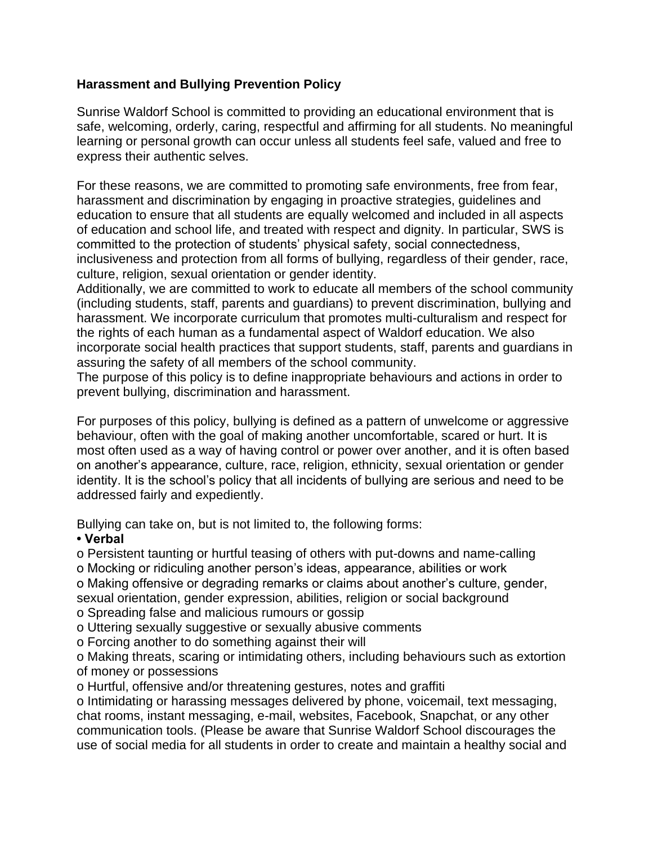## **Harassment and Bullying Prevention Policy**

Sunrise Waldorf School is committed to providing an educational environment that is safe, welcoming, orderly, caring, respectful and affirming for all students. No meaningful learning or personal growth can occur unless all students feel safe, valued and free to express their authentic selves.

For these reasons, we are committed to promoting safe environments, free from fear, harassment and discrimination by engaging in proactive strategies, guidelines and education to ensure that all students are equally welcomed and included in all aspects of education and school life, and treated with respect and dignity. In particular, SWS is committed to the protection of students' physical safety, social connectedness, inclusiveness and protection from all forms of bullying, regardless of their gender, race, culture, religion, sexual orientation or gender identity.

Additionally, we are committed to work to educate all members of the school community (including students, staff, parents and guardians) to prevent discrimination, bullying and harassment. We incorporate curriculum that promotes multi-culturalism and respect for the rights of each human as a fundamental aspect of Waldorf education. We also incorporate social health practices that support students, staff, parents and guardians in assuring the safety of all members of the school community.

The purpose of this policy is to define inappropriate behaviours and actions in order to prevent bullying, discrimination and harassment.

For purposes of this policy, bullying is defined as a pattern of unwelcome or aggressive behaviour, often with the goal of making another uncomfortable, scared or hurt. It is most often used as a way of having control or power over another, and it is often based on another's appearance, culture, race, religion, ethnicity, sexual orientation or gender identity. It is the school's policy that all incidents of bullying are serious and need to be addressed fairly and expediently.

Bullying can take on, but is not limited to, the following forms:

## **• Verbal**

o Persistent taunting or hurtful teasing of others with put-downs and name-calling

o Mocking or ridiculing another person's ideas, appearance, abilities or work

o Making offensive or degrading remarks or claims about another's culture, gender, sexual orientation, gender expression, abilities, religion or social background o Spreading false and malicious rumours or gossip

o Uttering sexually suggestive or sexually abusive comments

o Forcing another to do something against their will

o Making threats, scaring or intimidating others, including behaviours such as extortion of money or possessions

o Hurtful, offensive and/or threatening gestures, notes and graffiti

o Intimidating or harassing messages delivered by phone, voicemail, text messaging, chat rooms, instant messaging, e-mail, websites, Facebook, Snapchat, or any other communication tools. (Please be aware that Sunrise Waldorf School discourages the use of social media for all students in order to create and maintain a healthy social and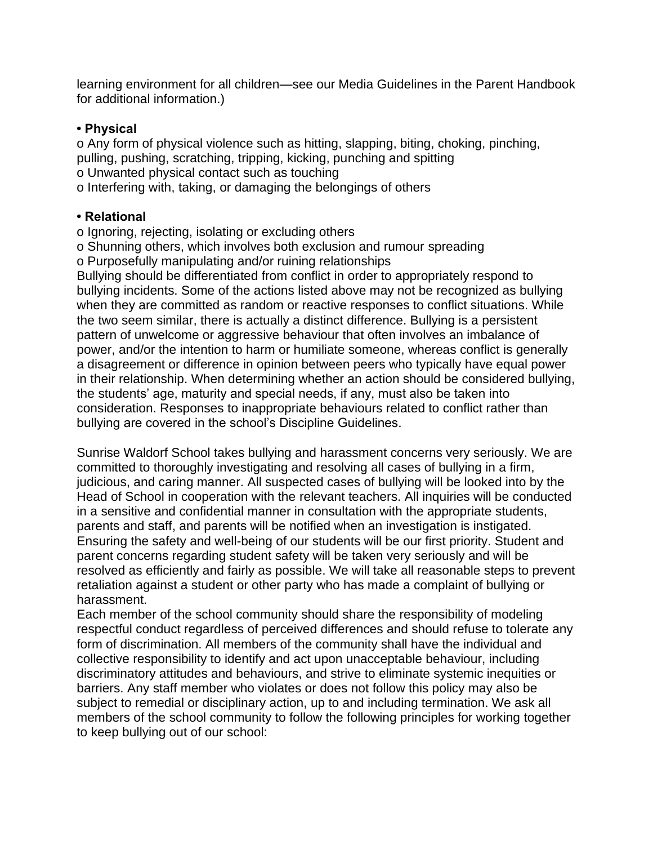learning environment for all children—see our Media Guidelines in the Parent Handbook for additional information.)

## **• Physical**

o Any form of physical violence such as hitting, slapping, biting, choking, pinching, pulling, pushing, scratching, tripping, kicking, punching and spitting o Unwanted physical contact such as touching o Interfering with, taking, or damaging the belongings of others

## **• Relational**

o Ignoring, rejecting, isolating or excluding others

o Shunning others, which involves both exclusion and rumour spreading

o Purposefully manipulating and/or ruining relationships

Bullying should be differentiated from conflict in order to appropriately respond to bullying incidents. Some of the actions listed above may not be recognized as bullying when they are committed as random or reactive responses to conflict situations. While the two seem similar, there is actually a distinct difference. Bullying is a persistent pattern of unwelcome or aggressive behaviour that often involves an imbalance of power, and/or the intention to harm or humiliate someone, whereas conflict is generally a disagreement or difference in opinion between peers who typically have equal power in their relationship. When determining whether an action should be considered bullying, the students' age, maturity and special needs, if any, must also be taken into consideration. Responses to inappropriate behaviours related to conflict rather than bullying are covered in the school's Discipline Guidelines.

Sunrise Waldorf School takes bullying and harassment concerns very seriously. We are committed to thoroughly investigating and resolving all cases of bullying in a firm, judicious, and caring manner. All suspected cases of bullying will be looked into by the Head of School in cooperation with the relevant teachers. All inquiries will be conducted in a sensitive and confidential manner in consultation with the appropriate students, parents and staff, and parents will be notified when an investigation is instigated. Ensuring the safety and well-being of our students will be our first priority. Student and parent concerns regarding student safety will be taken very seriously and will be resolved as efficiently and fairly as possible. We will take all reasonable steps to prevent retaliation against a student or other party who has made a complaint of bullying or harassment.

Each member of the school community should share the responsibility of modeling respectful conduct regardless of perceived differences and should refuse to tolerate any form of discrimination. All members of the community shall have the individual and collective responsibility to identify and act upon unacceptable behaviour, including discriminatory attitudes and behaviours, and strive to eliminate systemic inequities or barriers. Any staff member who violates or does not follow this policy may also be subject to remedial or disciplinary action, up to and including termination. We ask all members of the school community to follow the following principles for working together to keep bullying out of our school: